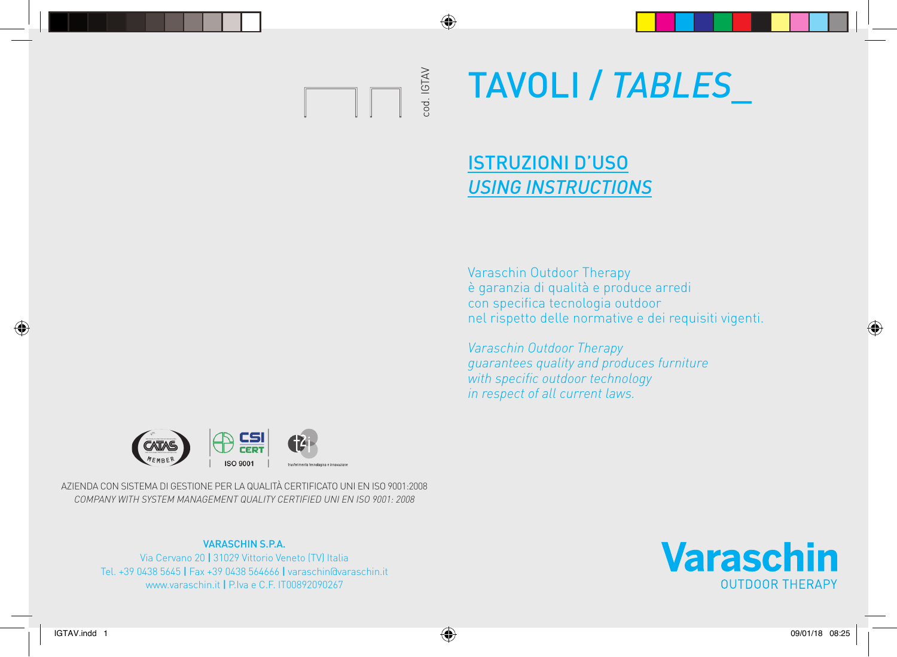

◈

# TAVOLI / *TABLES*\_

### ISTRUZIONI D'USO *USING INSTRUCTIONS*

Varaschin Outdoor Therapy è garanzia di qualità e produce arredi con specifica tecnologia outdoor nel rispetto delle normative e dei requisiti vigenti.

*Varaschin Outdoor Therapy guarantees quality and produces furniture with specific outdoor technology in respect of all current laws.*



AZIENDA CON SISTEMA DI GESTIONE PER LA QUALITÀ CERTIFICATO UNI EN ISO 9001:2008 *COMPANY WITH SYSTEM MANAGEMENT QUALITY CERTIFIED UNI EN ISO 9001: 2008*

#### VARASCHIN S.P.A.

Via Cervano 20 | 31029 Vittorio Veneto (TV) Italia Tel. +39 0438 5645 | Fax +39 0438 564666 | varaschin@varaschin.it www.varaschin.it | P.Iva e C.F. IT00892090267



◈